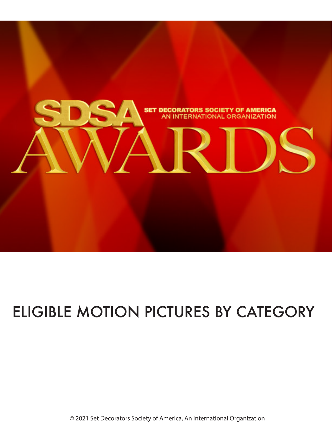

### ELIGIBLE MOTION PICTURES BY CATEGORY

© 2021 Set Decorators Society of America, An International Organization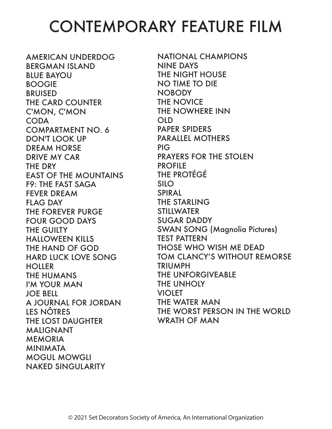### CONTEMPORARY FEATURE FILM

AMERICAN UNDERDOG BERGMAN ISLAND BLUE BAYOU BOOGIE **BRUISED** THE CARD COUNTER C'MON, C'MON CODA COMPARTMENT NO. 6 DON'T LOOK UP DREAM HORSE DRIVE MY CAR THE DRY EAST OF THE MOUNTAINS F9: THE FAST SAGA FEVER DREAM FLAG DAY THE FOREVER PURGE FOUR GOOD DAYS THE GUILTY HALLOWEEN KILLS THE HAND OF GOD HARD LUCK LOVE SONG **HOLLER** THE HUMANS I'M YOUR MAN JOE BELL A JOURNAL FOR JORDAN LES NÔTRES THE LOST DAUGHTER MALIGNANT **MEMORIA** MINIMATA MOGUL MOWGLI NAKED SINGULARITY

NATIONAL CHAMPIONS NINE DAYS THE NIGHT HOUSE NO TIME TO DIE NOBODY THE NOVICE THE NOWHERE INN OLD PAPER SPIDERS PARALLEL MOTHERS PIG PRAYERS FOR THE STOLEN PROFILE THE PROTÉGÉ SILO SPIRAL THE STARLING **STILLWATER** SUGAR DADDY SWAN SONG (Magnolia Pictures) TEST PATTERN THOSE WHO WISH ME DEAD TOM CLANCY'S WITHOUT REMORSE TRIUMPH THE UNFORGIVEABLE THE UNHOLY **VIOLET** THE WATER MAN THE WORST PERSON IN THE WORLD WRATH OF MAN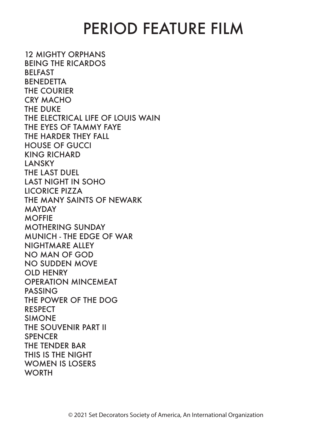#### PERIOD FEATURE FILM

12 MIGHTY ORPHANS BEING THE RICARDOS BELFAST **BENEDETTA** THE COURIER CRY MACHO THE DUKE THE ELECTRICAL LIFE OF LOUIS WAIN THE EYES OF TAMMY FAYE THE HARDER THEY FALL HOUSE OF GUCCI KING RICHARD LANSKY THE LAST DUEL LAST NIGHT IN SOHO LICORICE PIZZA THE MANY SAINTS OF NEWARK MAYDAY MOFFIE MOTHERING SUNDAY MUNICH - THE EDGE OF WAR NIGHTMARE ALLEY NO MAN OF GOD NO SUDDEN MOVE OLD HENRY OPERATION MINCEMEAT PASSING THE POWER OF THE DOG RESPECT SIMONE THE SOUVENIR PART II **SPENCER** THE TENDER BAR THIS IS THE NIGHT WOMEN IS LOSERS **WORTH**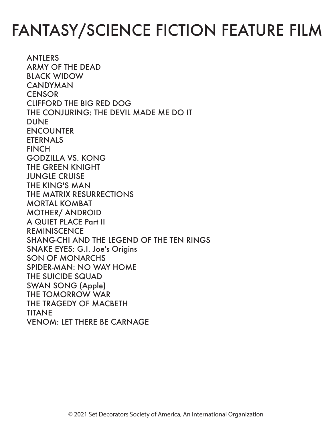# FANTASY/SCIENCE FICTION FEATURE FILM

ANTLERS ARMY OF THE DEAD BLACK WIDOW CANDYMAN **CENSOR** CLIFFORD THE BIG RED DOG THE CONJURING: THE DEVIL MADE ME DO IT DUNE ENCOUNTER ETERNALS **FINCH** GODZILLA VS. KONG THE GREEN KNIGHT JUNGLE CRUISE THE KING'S MAN THE MATRIX RESURRECTIONS MORTAL KOMBAT MOTHER/ ANDROID A QUIET PLACE Part II **REMINISCENCE** SHANG-CHI AND THE LEGEND OF THE TEN RINGS SNAKE EYES: G.I. Joe's Origins SON OF MONARCHS SPIDER-MAN: NO WAY HOME THE SUICIDE SQUAD SWAN SONG (Apple) THE TOMORROW WAR THE TRAGEDY OF MACBETH TITANE VENOM: LET THERE BE CARNAGE